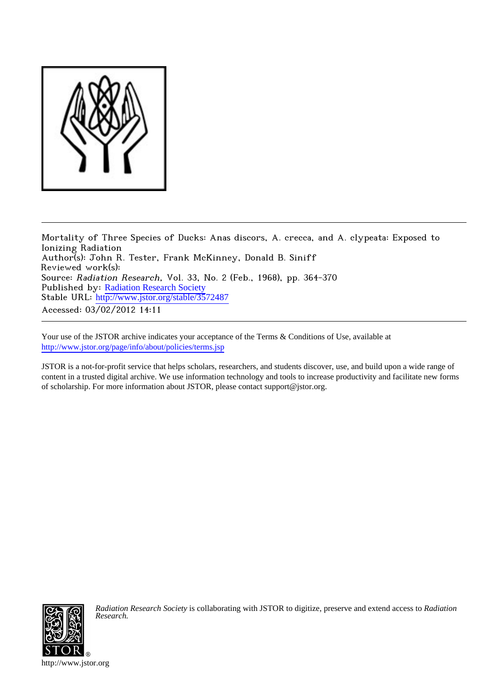

Mortality of Three Species of Ducks: Anas discors, A. crecca, and A. clypeata: Exposed to Ionizing Radiation Author(s): John R. Tester, Frank McKinney, Donald B. Siniff Reviewed work(s): Source: Radiation Research, Vol. 33, No. 2 (Feb., 1968), pp. 364-370 Published by: [Radiation Research Society](http://www.jstor.org/action/showPublisher?publisherCode=rrs) Stable URL: [http://www.jstor.org/stable/3572487](http://www.jstor.org/stable/3572487?origin=JSTOR-pdf) Accessed: 03/02/2012 14:11

Your use of the JSTOR archive indicates your acceptance of the Terms & Conditions of Use, available at <http://www.jstor.org/page/info/about/policies/terms.jsp>

JSTOR is a not-for-profit service that helps scholars, researchers, and students discover, use, and build upon a wide range of content in a trusted digital archive. We use information technology and tools to increase productivity and facilitate new forms of scholarship. For more information about JSTOR, please contact support@jstor.org.



*Radiation Research Society* is collaborating with JSTOR to digitize, preserve and extend access to *Radiation Research.*

http://www.jstor.org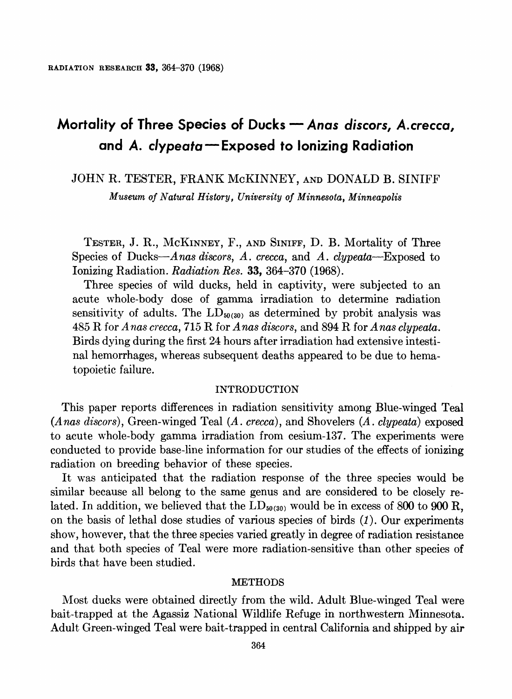# Mortality of Three Species of Ducks - Anas discors, A.crecca, **and A. clypeata-Exposed to Ionizing Radiation**

**JOHN R. TESTER, FRANK McKINNEY, AND DONALD B. SINIFF** 

**Museum of Natural History, University of Minnesota, Minneapolis** 

**TESTER, J. R., MCKINNEY, F., AND SINIFF, D. B. Mortality of Three Species of Ducks-Anas discors, A. crecca, and A. clypeata-Exposed to Ionizing Radiation. Radiation Res. 33, 364-370 (1968).** 

**Three species of wild ducks, held in captivity, were subjected to an acute whole-body dose of gamma irradiation to determine radiation**  sensitivity of adults. The  $LD_{50(30)}$  as determined by probit analysis was **485 R for Anas crecca, 715 R for Anas discors, and 894 R for Anas clypeata. Birds dying during the first 24 hours after irradiation had extensive intestinal hemorrhages, whereas subsequent deaths appeared to be due to hematopoietic failure.** 

# **INTRODUCTION**

**This paper reports differences in radiation sensitivity among Blue-winged Teal (Anas discors), Green-winged Teal (A. crecca), and Shovelers (A. clypeata) exposed to acute whole-body gamma irradiation from cesium-137. The experiments were conducted to provide base-line information for our studies of the effects of ionizing radiation on breeding behavior of these species.** 

**It was anticipated that the radiation response of the three species would be similar because all belong to the same genus and are considered to be closely re**lated. In addition, we believed that the  $LD_{50(30)}$  would be in excess of 800 to 900 R, **on the basis of lethal dose studies of various species of birds (1). Our experiments show, however, that the three species varied greatly in degree of radiation resistance and that both species of Teal were more radiation-sensitive than other species of birds that have been studied.** 

## **METHODS**

**Most ducks were obtained directly from the wild. Adult Blue-winged Teal were bait-trapped at the Agassiz National Wildlife Refuge in northwestern Minnesota. Adult Green-winged Teal were bait-trapped in central California and shipped by air**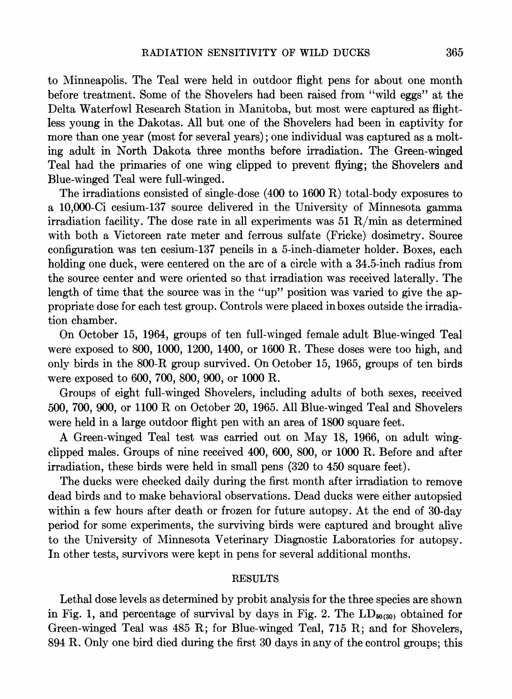**to Minneapolis. The Teal were held in outdoor flight pens for about one month before treatment. Some of the Shovelers had been raised from "wild eggs" at the Delta Waterfowl Research Station in Manitoba, but most were captured as flightless young in the Dakotas. All but one of the Shovelers had been in captivity for more than one year (most for several years); one individual was captured as a molting adult in North Dakota three months before irradiation. The Green-winged Teal had the primaries of one wing clipped to prevent flying; the Shovelers and Blue-winged Teal were full-winged.** 

**The irradiations consisted of single-dose (400 to 1600 R) total-body exposures to a 10,000-Ci cesium-137 source delivered in the University of Minnesota gamma irradiation facility. The dose rate in all experiments was 51 R/min as determined with both a Victoreen rate meter and ferrous sulfate (Fricke) dosimetry. Source configuration was ten cesium-137 pencils in a 5-inch-diameter holder. Boxes, each holding one duck, were centered on the arc of a circle with a 34.5-inch radius from the source center and were oriented so that irradiation was received laterally. The length of time that the source was in the "up" position was varied to give the appropriate dose for each test group. Controls were placed in boxes outside the irradiation chamber.** 

**On October 15, 1964, groups of ten full-winged female adult Blue-winged Teal were exposed to 800, 1000, 1200, 1400, or 1600 R. These doses were too high, and only birds in the 800-R group survived. On October 15, 1965, groups of ten birds were exposed to 600, 700, 800, 900, or 1000 R.** 

**Groups of eight full-winged Shovelers, including adults of both sexes, received 500, 700, 900, or 1100 R on October 20, 1965. All Blue-winged Teal and Shovelers were held in a large outdoor flight pen with an area of 1800 square feet.** 

**A Green-winged Teal test was carried out on May 18, 1966, on adult wingclipped males. Groups of nine received 400, 600, 800, or 1000 R. Before and after irradiation, these birds were held in small pens (320 to 450 square feet).** 

**The ducks were checked daily during the first month after irradiation to remove dead birds and to make behavioral observations. Dead ducks were either autopsied within a few hours after death or frozen for future autopsy. At the end of 30-day period for some experiments, the surviving birds were captured and brought alive to the University of Minnesota Veterinary Diagnostic Laboratories for autopsy. In other tests, survivors were kept in pens for several additional months.** 

# **RESULTS**

**Lethal dose levels as determined by probit analysis for the three species are shown**  in Fig. 1, and percentage of survival by days in Fig. 2. The  $LD_{50(30)}$  obtained for **Green-winged Teal was 485 R; for Blue-winged Teal, 715 R; and for Shovelers, 894 R. Only one bird died during the first 30 days in any of the control groups; this**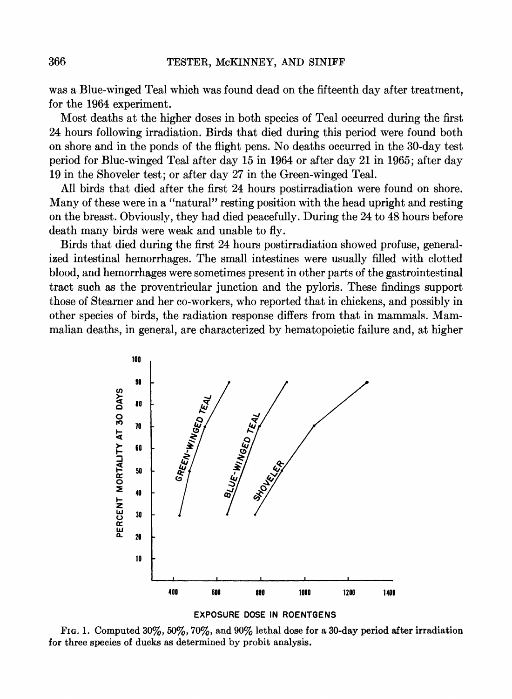**was a Blue-winged Teal which was found dead on the fifteenth day after treatment, for the 1964 experiment.** 

**Most deaths at the higher doses in both species of Teal occurred during the first 24 hours following irradiation. Birds that died during this period were found both on shore and in the ponds of the flight pens. No deaths occurred in the 30-day test period for Blue-winged Teal after day 15 in 1964 or after day 21 in 1965; after day 19 in the Shoveler test; or after day 27 in the Green-winged Teal.** 

**All birds that died after the first 24 hours postirradiation were found on shore. Many of these were in a "natural" resting position with the head upright and resting on the breast. Obviously, they had died peacefully. During the 24 to 48 hours before death many birds were weak and unable to fly.** 

**Birds that died during the first 24 hours postirradiation showed profuse, generalized intestinal hemorrhages. The small intestines were usually filled with clotted blood, and hemorrhages were sometimes present in other parts of the gastrointestinal tract such as the proventricular junction and the pyloris. These findings support those of Steamer and her co-workers, who reported that in chickens, and possibly in other species of birds, the radiation response differs from that in mammals. Mammalian deaths, in general, are characterized by hematopoietic failure and, at higher** 





**FIG. 1. Computed 30%, 50%, 70%, and 90% lethal dose for a 30-day period after irradiation for three species of ducks as determined by probit analysis.**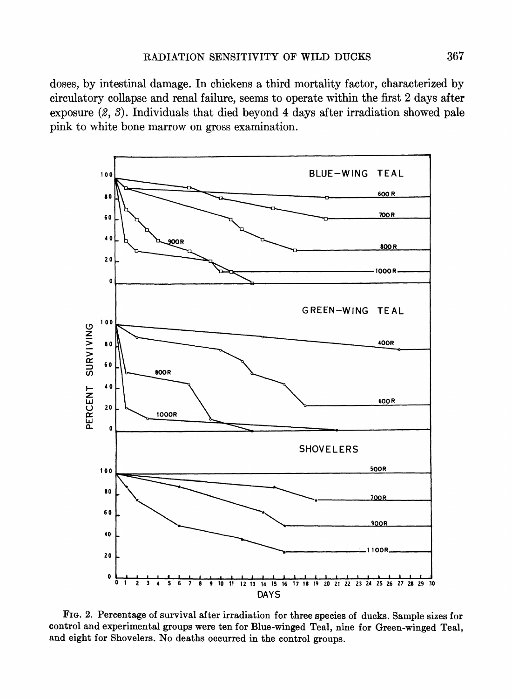**doses, by intestinal damage. In chickens a third mortality factor, characterized by circulatory collapse and renal failure, seems to operate within the first 2 days after exposure (2, 3). Individuals that died beyond 4 days after irradiation showed pale pink to white bone marrow on gross examination.** 



**FIG. 2. Percentage of survival after irradiation for three species of ducks. Sample sizes for control and experimental groups were ten for Blue-winged Teal, nine for Green-winged Teal, and eight for Shovelers. No deaths occurred in the control groups.**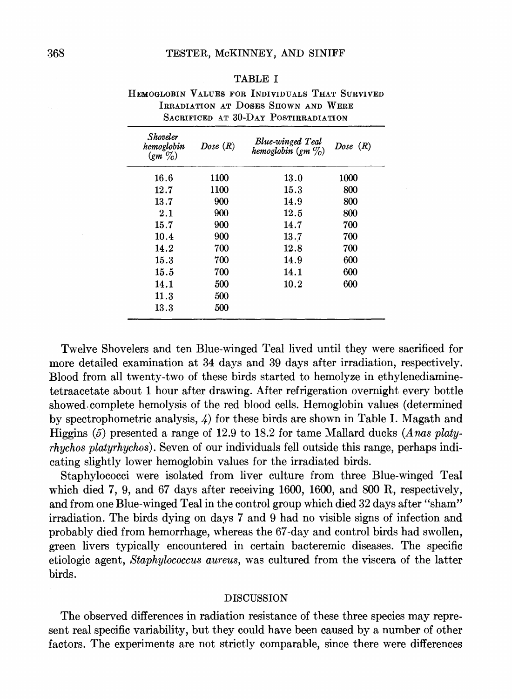## **TESTER, McKINNEY, AND SINIFF**

## **TABLE I**

| HEMOGLOBIN VALUES FOR INDIVIDUALS THAT SURVIVED |                                      |  |
|-------------------------------------------------|--------------------------------------|--|
|                                                 | IRRADIATION AT DOSES SHOWN AND WERE  |  |
|                                                 | SACRIFICED AT 30-DAY POSTIRRADIATION |  |

| <b>Shoveler</b><br>hemoglobin<br>$\left(\text{gm}\ \% \right)$ | Dose(R) | <b>Blue-winged Teal</b><br>hemoglobin $(g_m \gamma_0)$ | Dose $(R)$ |
|----------------------------------------------------------------|---------|--------------------------------------------------------|------------|
| 16.6                                                           | 1100    | 13.0                                                   | 1000       |
| 12.7                                                           | 1100    | 15.3                                                   | 800        |
| 13.7                                                           | 900     | 14.9                                                   | 800        |
| $2.1\,$                                                        | 900     | 12.5                                                   | 800        |
| 15.7                                                           | 900     | 14.7                                                   | 700        |
| 10.4                                                           | 900     | 13.7                                                   | 700        |
| 14.2                                                           | 700     | 12.8                                                   | 700        |
| 15.3                                                           | 700     | 14.9                                                   | 600        |
| 15.5                                                           | 700     | 14.1                                                   | 600        |
| 14.1                                                           | 500     | 10.2                                                   | 600        |
| 11.3                                                           | 500     |                                                        |            |
| 13.3                                                           | 500     |                                                        |            |

**Twelve Shovelers and ten Blue-winged Teal lived until they were sacrificed for more detailed examination at 34 days and 39 days after irradiation, respectively. Blood from all twenty-two of these birds started to hemolyze in ethylenediaminetetraacetate about 1 hour after drawing. After refrigeration overnight every bottle showed.complete hemolysis of the red blood cells. Hemoglobin values (determined by spectrophometric analysis, 4) for these birds are shown in Table I. Magath and Higgins (5) presented a range of 12.9 to 18.2 for tame Mallard ducks (Anas platyrhychos platyrhychos). Seven of our individuals fell outside this range, perhaps indicating slightly lower hemoglobin values for the irradiated birds.** 

**Staphylococci were isolated from liver culture from three Blue-winged Teal which died 7, 9, and 67 days after receiving 1600, 1600, and 800 R, respectively, and from one Blue-winged Teal in the control group which died 32 days after "sham" irradiation. The birds dying on days 7 and 9 had no visible signs of infection and probably died from hemorrhage, whereas the 67-day and control birds had swollen, green livers typically encountered in certain bacteremic diseases. The specific etiologic agent, Staphylococcus aureus, was cultured from the viscera of the latter birds.** 

# **DISCUSSION**

**The observed differences in radiation resistance of these three species may represent real specific variability, but they could have been caused by a number of other factors. The experiments are not strictly comparable, since there were differences**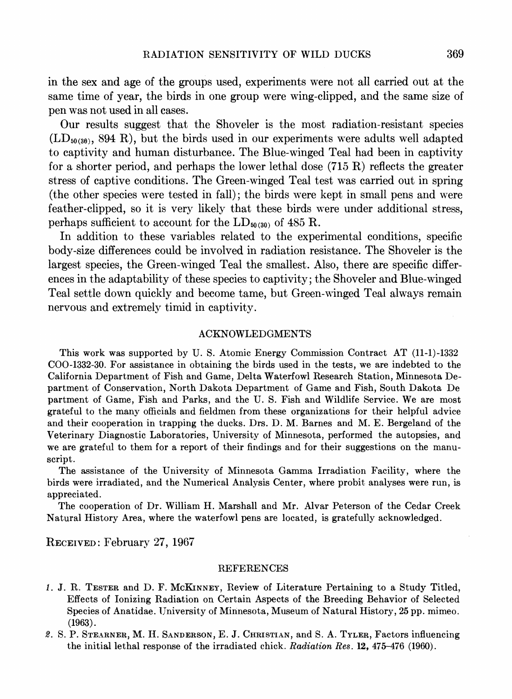**in the sex and age of the groups used, experiments were not all carried out at the same time of year, the birds in one group were wing-clipped, and the same size of pen was not used in all cases.** 

**Our results suggest that the Shoveler is the most radiation-resistant species (LD50(30), 894 R), but the birds used in our experiments were adults well adapted to captivity and human disturbance. The Blue-winged Teal had been in captivity for a shorter period, and perhaps the lower lethal dose (715 R) reflects the greater stress of captive conditions. The Green-winged Teal test was carried out in spring (the other species were tested in fall); the birds were kept in small pens and were feather-clipped, so it is very likely that these birds were under additional stress, perhaps sufficient to account for the**  $LD_{50(30)}$  **of 485 R.** 

**In addition to these variables related to the experimental conditions, specific body-size differences could be involved in radiation resistance. The Shoveler is the largest species, the Green-winged Teal the smallest. Also, there are specific differences in the adaptability of these species to captivity; the Shoveler and Blue-winged Teal settle down quickly and become tame, but Green-winged Teal always remain nervous and extremely timid in captivity.** 

### **ACKNOWLEDGMENTS**

**This work was supported by U. S. Atomic Energy Commission Contract AT (11-1)-1332 COO-1332-30. For assistance in obtaining the birds used in the tests, we are indebted to the California Department of Fish and Game, Delta Waterfowl Research Station, Minnesota Department of Conservation, North Dakota Department of Game and Fish, South Dakota De partment of Game, Fish and Parks, and the U. S. Fish and Wildlife Service. We are most grateful to the many officials and fieldmen from these organizations for their helpful advice and their cooperation in trapping the ducks. Drs. D. M. Barnes and M. E. Bergeland of the Veterinary Diagnostic Laboratories, University of Minnesota, performed the autopsies, and we are grateful to them for a report of their findings and for their suggestions on the manuscript.** 

**The assistance of the University of Minnesota Gamma Irradiation Facility, where the birds were irradiated, and the Numerical Analysis Center, where probit analyses were run, is appreciated.** 

**The cooperation of Dr. William H. Marshall and Mr. Alvar Peterson of the Cedar Creek Natural History Area, where the waterfowl pens are located, is gratefully acknowledged.** 

**RECEIVED: February 27, 1967** 

### **REFERENCES**

- **1. J. R. TESTER and D. F. MCKINNEY, Review of Literature Pertaining to a Study Titled, Effects of Ionizing Radiation on Certain Aspects of the Breeding Behavior of Selected Species of Anatidae. University of Minnesota, Museum of Natural History, 25 pp. mimeo. (1963).**
- **2. S. P. STEARNER, M. H. SANDERSON, E. J. CHRISTIAN, and S. A. TYLER, Factors influencing the initial lethal response of the irradiated chick. Radiation Res. 12, 475-476 (1960).**